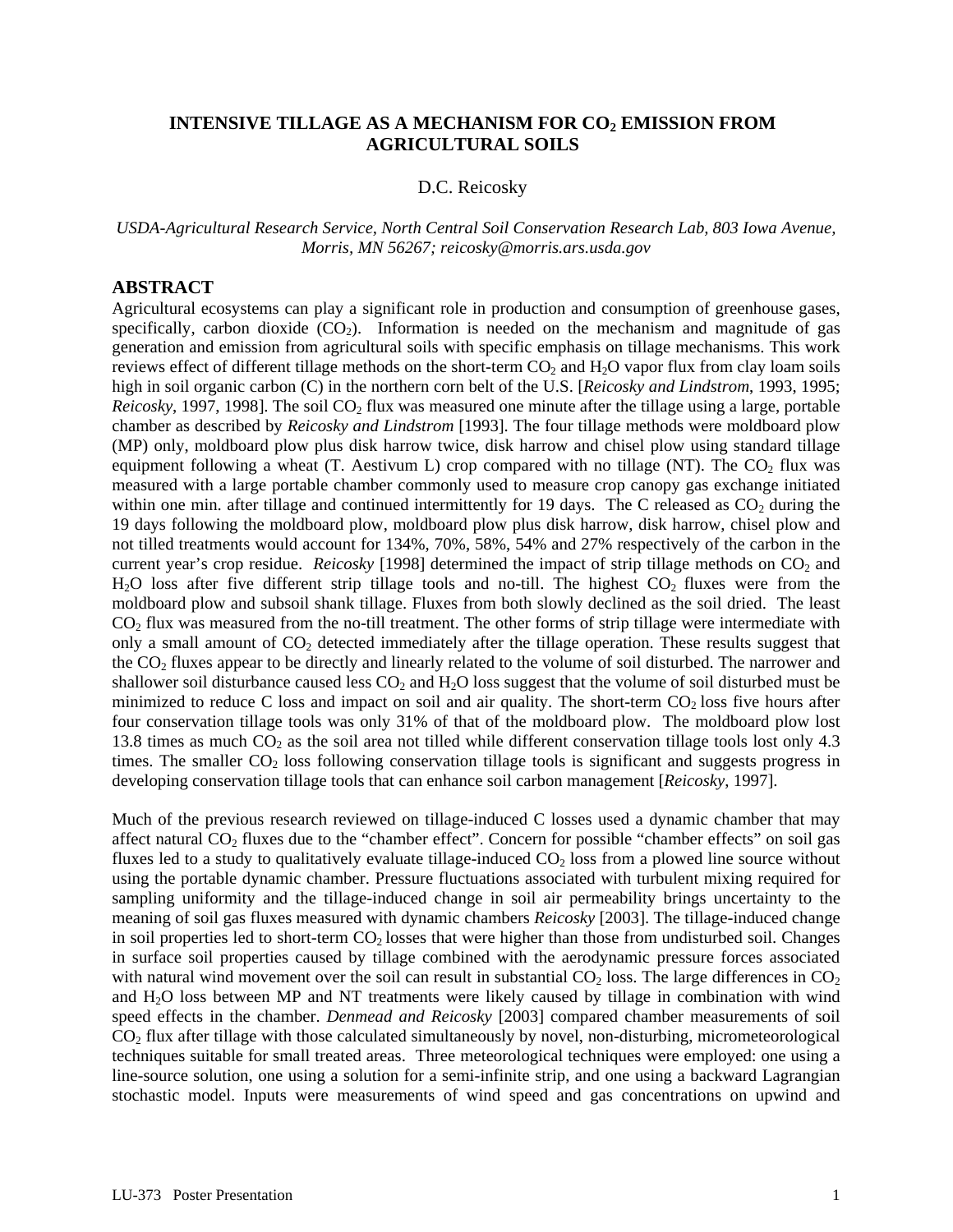## **INTENSIVE TILLAGE AS A MECHANISM FOR CO<sub>2</sub> EMISSION FROM AGRICULTURAL SOILS**

## D.C. Reicosky

*USDA-Agricultural Research Service, North Central Soil Conservation Research Lab, 803 Iowa Avenue, Morris, MN 56267; [reicosky@morris.ars.usda.gov](mailto:reicosky@morris.ars.usda.gov)*

## **ABSTRACT**

Agricultural ecosystems can play a significant role in production and consumption of greenhouse gases, specifically, carbon dioxide  $(CO<sub>2</sub>)$ . Information is needed on the mechanism and magnitude of gas generation and emission from agricultural soils with specific emphasis on tillage mechanisms. This work reviews effect of different tillage methods on the short-term  $CO_2$  and  $H_2O$  vapor flux from clay loam soils high in soil organic carbon (C) in the northern corn belt of the U.S. [*Reicosky and Lindstrom*, 1993, 1995; *Reicosky*, 1997, 1998]. The soil CO<sub>2</sub> flux was measured one minute after the tillage using a large, portable chamber as described by *Reicosky and Lindstrom* [1993]. The four tillage methods were moldboard plow (MP) only, moldboard plow plus disk harrow twice, disk harrow and chisel plow using standard tillage equipment following a wheat (T. Aestivum L) crop compared with no tillage (NT). The  $CO<sub>2</sub>$  flux was measured with a large portable chamber commonly used to measure crop canopy gas exchange initiated within one min. after tillage and continued intermittently for 19 days. The C released as  $CO<sub>2</sub>$  during the 19 days following the moldboard plow, moldboard plow plus disk harrow, disk harrow, chisel plow and not tilled treatments would account for 134%, 70%, 58%, 54% and 27% respectively of the carbon in the current year's crop residue. *Reicosky* [1998] determined the impact of strip tillage methods on CO<sub>2</sub> and  $H<sub>2</sub>O$  loss after five different strip tillage tools and no-till. The highest  $CO<sub>2</sub>$  fluxes were from the moldboard plow and subsoil shank tillage. Fluxes from both slowly declined as the soil dried. The least  $CO<sub>2</sub>$  flux was measured from the no-till treatment. The other forms of strip tillage were intermediate with only a small amount of  $CO<sub>2</sub>$  detected immediately after the tillage operation. These results suggest that the CO<sub>2</sub> fluxes appear to be directly and linearly related to the volume of soil disturbed. The narrower and shallower soil disturbance caused less  $CO<sub>2</sub>$  and  $H<sub>2</sub>O$  loss suggest that the volume of soil disturbed must be minimized to reduce C loss and impact on soil and air quality. The short-term  $CO<sub>2</sub>$  loss five hours after four conservation tillage tools was only 31% of that of the moldboard plow. The moldboard plow lost 13.8 times as much  $CO<sub>2</sub>$  as the soil area not tilled while different conservation tillage tools lost only 4.3 times. The smaller CO<sub>2</sub> loss following conservation tillage tools is significant and suggests progress in developing conservation tillage tools that can enhance soil carbon management [*Reicosky*, 1997].

Much of the previous research reviewed on tillage-induced C losses used a dynamic chamber that may affect natural  $CO<sub>2</sub>$  fluxes due to the "chamber effect". Concern for possible "chamber effects" on soil gas fluxes led to a study to qualitatively evaluate tillage-induced  $CO<sub>2</sub>$  loss from a plowed line source without using the portable dynamic chamber. Pressure fluctuations associated with turbulent mixing required for sampling uniformity and the tillage-induced change in soil air permeability brings uncertainty to the meaning of soil gas fluxes measured with dynamic chambers *Reicosky* [2003]. The tillage-induced change in soil properties led to short-term  $CO<sub>2</sub>$  losses that were higher than those from undisturbed soil. Changes in surface soil properties caused by tillage combined with the aerodynamic pressure forces associated with natural wind movement over the soil can result in substantial  $CO<sub>2</sub>$  loss. The large differences in  $CO<sub>2</sub>$ and H2O loss between MP and NT treatments were likely caused by tillage in combination with wind speed effects in the chamber. *Denmead and Reicosky* [2003] compared chamber measurements of soil  $CO<sub>2</sub>$  flux after tillage with those calculated simultaneously by novel, non-disturbing, micrometeorological techniques suitable for small treated areas. Three meteorological techniques were employed: one using a line-source solution, one using a solution for a semi-infinite strip, and one using a backward Lagrangian stochastic model. Inputs were measurements of wind speed and gas concentrations on upwind and